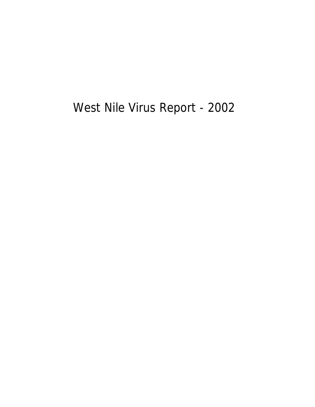West Nile Virus Report - 2002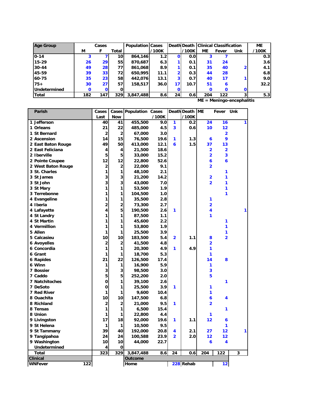| <b>Age Group</b> | Cases |                 |                 | <b>Population Cases</b> |                  | Death Death   Clinical Classification |                  |     |             | <b>ME</b>                  |       |
|------------------|-------|-----------------|-----------------|-------------------------|------------------|---------------------------------------|------------------|-----|-------------|----------------------------|-------|
|                  | М     |                 | Total           |                         | /100K            |                                       | /100K            | ME  | Fever       | Unk                        | /100K |
| $0 - 14$         | 3     |                 | 10              | 864,146                 | 1.2 <sub>1</sub> | $\mathbf{o}$                          | 0.0 <sub>l</sub> | 3   |             |                            | 0.3   |
| $15 - 29$        | 26    | 29 <sub>l</sub> | 55 <sub>1</sub> | 870.687                 | 6.3              |                                       | 0.1              | 31  | 24          |                            | 3.6   |
| $30 - 44$        | 49    | <b>28</b>       | 77 I            | 861,068                 | 8.9              |                                       | 0.1              | 35  | 40          |                            | 4.1   |
| 45-59            | 39    | 33 <sub>1</sub> | 72 I            | 650.995                 | 11.1             |                                       | 0.3              | 44  | 28          |                            | 6.8   |
| 60-75            | 35    | 23 <sub>l</sub> | 58              | 442,076                 | 13.1             | 3                                     | 0.7              | 40  | 17          |                            | 9.0   |
| $75+$            | 30    | 27 <sup>1</sup> | 57              | 158,517                 | 36.0             | 17                                    | 10.7             | 51  | 6           |                            | 32.2  |
| Undetermined     | 0     | $\mathbf{o}$    |                 |                         |                  |                                       |                  |     | $\mathbf 0$ |                            |       |
| <b>Total</b>     | 182   | 1471            | 329             | 3,847,488               | 8.6              | 24                                    | 0.6              | 204 | 122         | 3                          | 5.3   |
|                  |       |                 |                 |                         |                  |                                       |                  |     |             | $ME = Meningo-encephality$ |       |

| Parish                | Cases                   |                | <b>Cases Population Cases</b> |       |                | Death Death | <b>ME</b>               | Fever          | Unk |
|-----------------------|-------------------------|----------------|-------------------------------|-------|----------------|-------------|-------------------------|----------------|-----|
|                       | Last                    | Now            |                               | /100K |                | /100K       |                         |                |     |
| 1 Jefferson           | 40                      | 41             | 455,500                       | 9.0   | 1              | 0.2         | 24                      | 16             |     |
| 1 Orleans             | 21                      | 22             | 485,000                       | 4.5   | 3              | 0.6         | 10                      | 12             |     |
| 1 St Bernard          | $\overline{a}$          | $\mathbf 2$    | 67,000                        | 3.0   |                |             |                         | 2              |     |
| 2 Ascension           | 14                      | 15             | 76,500                        | 19.6  | 1              | 1.3         | 6                       | 9              |     |
| 2 East Baton Rouge    | 49                      | 50             | 413,000                       | 12.1  | 6              | 1.5         | 37                      | 13             |     |
| 2 East Feliciana      | 4                       | 4              | 21,500                        | 18.6  |                |             | 2                       | 2              |     |
| 2 Iberville           | 5                       | 5              | 33,000                        | 15.2  |                |             | 2                       | 3              |     |
| 2 Pointe Coupee       | 12                      | 12             | 22,800                        | 52.6  |                |             | 6                       | 6              |     |
| 2 West Baton Rouge    | $\overline{\mathbf{c}}$ | $\overline{2}$ | 22,000                        | 9.1   |                |             | $\overline{2}$          |                |     |
| 3 St. Charles         | 1                       | 1              | 48,100                        | 2.1   |                |             |                         | 1              |     |
| 3 St James            | 3                       | 3              | 21,200                        | 14.2  |                |             | $\overline{\mathbf{2}}$ | 1              |     |
| 3 St John             | 3                       | 3              | 43,000                        | 7.0   |                |             | $\overline{2}$          | 1              |     |
| 3 St Mary             | 1                       | 1              | 53,500                        | 1.9   |                |             |                         | 1              |     |
| 3 Terrebonne          | 1                       | 1              | 104,500                       | 1.0   |                |             |                         | 1              |     |
| 4 Evangeline          | 1                       | 1              | 35,500                        | 2.8   |                |             | 1                       |                |     |
| 4 Iberia              | $\overline{2}$          | $\overline{2}$ | 73,300                        | 2.7   |                |             | $\overline{2}$          |                |     |
| 4 Lafayette           | 4                       | 5              | 190,500                       | 2.6   | 1              |             | 4                       |                |     |
| 4 St Landry           | 1                       | 1              | 87,500                        | 1.1   |                |             | 1                       |                |     |
| 4 St Martin           | 1                       | 1              | 45,600                        | 2.2   |                |             |                         | 1              |     |
| 4 Vermillion          | 1                       | 1              | 53,800                        | 1.9   |                |             |                         | 1              |     |
| 5 Allen               | 1                       | 1              | 25,500                        | 3.9   |                |             |                         | 1              |     |
| 5 Calcasieu           | 10                      | 10             | 183,500                       | 5.4   | $\overline{2}$ | 1.1         | 8                       | $\overline{2}$ |     |
| <b>6 Avoyelles</b>    | $\overline{c}$          | $\overline{2}$ | 41,500                        | 4.8   |                |             | $\overline{2}$          |                |     |
| 6 Concordia           | 1                       | 1              | 20,300                        | 4.9   | 1              | 4.9         | 1                       |                |     |
| 6 Grant               | 1                       | 1              | 18,700                        | 5.3   |                |             | 1                       |                |     |
| <b>6 Rapides</b>      | 21                      | 22             | 126,500                       | 17.4  |                |             | 14                      | 8              |     |
| 6 Winn                | 1                       | 1              | 16,900                        | 5.9   |                |             | 1                       |                |     |
| 7 Bossier             | 3                       | 3              | 98,500                        | 3.0   |                |             | 3                       |                |     |
| 7 Caddo               | 5                       | 5              | 252,200                       | 2.0   |                |             | 5                       |                |     |
| 7 Natchitoches        | $\mathbf 0$             | 1              | 39,100                        | 2.6   |                |             |                         | 1              |     |
| 7 DeSoto              | 0                       | 1              | 25,500                        | 3.9   | 1              |             | 1                       |                |     |
| 7 Red River           | 1                       | 1              | 9,600                         | 10.4  |                |             | 1                       |                |     |
| 8 Ouachita            | 10                      | 10             | 147,500                       | 6.8   |                |             | 6                       | 4              |     |
| 8 Richland            | $\overline{2}$          | $\mathbf{2}$   | 21,000                        | 9.5   | 1              |             | $\overline{2}$          |                |     |
| 8 Tensas              | 1                       | 1              | 6,500                         | 15.4  |                |             |                         | 1              |     |
| 8 Union               | 1                       | 1              | 22,800                        | 4.4   |                |             | 1                       |                |     |
| 9 Livingston          | 17                      | 18             | 92,000                        | 19.6  | 1              | 1.1         | 12                      | 6              |     |
| 9 St Helena           | 1                       | 1              | 10,500                        | 9.5   |                |             |                         | 1              |     |
| 9 St Tammany          | 39                      | 40             | 192,000                       | 20.8  | 4              | 2.1         | 27                      | 12             | 1   |
| 9 Tangipahoa          | 24                      | 24             | 100,588                       | 23.9  | 2              | 2.0         | 12                      | 12             |     |
| 9 Washington          | 10                      | 10             | 44,000                        | 22.7  |                |             | 6                       | 4              |     |
| Undetermined          | 4                       | 0              |                               |       |                |             |                         |                |     |
| <b>Total</b>          | 323                     | 329            | 3,847,488                     | 8.6   | 24             | 0.6         | 204                     | 122            | 3   |
| <b>Clinical</b>       |                         |                | Outcome                       |       |                |             |                         |                |     |
| 122<br><b>WNFever</b> |                         |                | Home                          |       |                | 228 Rehab   |                         | 12             |     |
|                       |                         |                |                               |       |                |             |                         |                |     |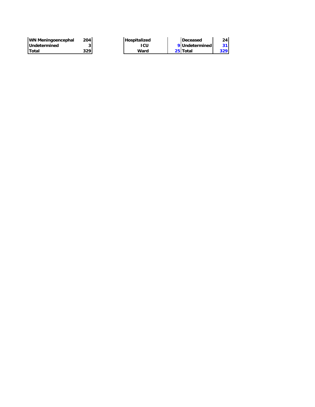| WN Meningoencephal   | 204 I | Hospitalized | Deceased         | 24   |
|----------------------|-------|--------------|------------------|------|
| <b>IUndetermined</b> |       | ıcu          | 9 Undetermined I |      |
| lTotal               | 329 I | Ward         | 25 Total         | 329. |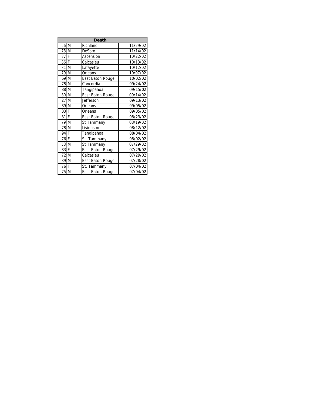|                  | <b>Death</b>     |          |
|------------------|------------------|----------|
| 56 M             | Richland         | 11/29/02 |
| 73 M             | DeSoto           | 11/14/02 |
| 87 F             | Ascension        | 10/22/02 |
| 86 F             | Calcasieu        | 10/13/02 |
| 81 M             | Lafayette        | 10/12/02 |
| 79 M             | Orleans          | 10/07/02 |
| 69 M             | East Baton Rouge | 10/02/02 |
| 78 M             | Concordia        | 09/24/02 |
| 88 M             | Tangipahoa       | 09/15/02 |
| 80 M             | East Baton Rouge | 09/14/02 |
| 27 M             | Jefferson        | 09/13/02 |
| 89 M             | Orleans          | 09/05/02 |
| 83 F             | Orleans          | 09/05/02 |
| 81 <sub>IF</sub> | East Baton Rouge | 08/23/02 |
| 79 M             | St Tammany       | 08/19/02 |
| 78 M             | Livingston       | 08/12/02 |
| 94 F             | Tangipahoa       | 08/04/02 |
| 76 F             | St. Tammany      | 08/02/02 |
| 53 M             | St Tammany       | 07/29/02 |
| 83 F             | East Baton Rouge | 07/29/02 |
| 72 M             | Calcasieu        | 07/29/02 |
| 39 M             | East Baton Rouge | 07/28/02 |
| 76 F             | St. Tammany      | 07/04/02 |
| 75 M             | East Baton Rouge | 07/04/02 |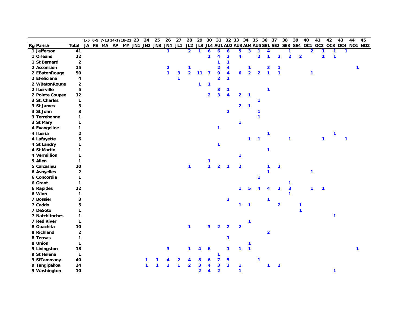|                    |                |    |  |          | 1-5 6-9 7-13 14-1718-22 23 |                        | 24           | 25 | 26                      | 27           | 28             | 29             | 30                      | 31                      |                         | 32 33 34 35             |                         |                         | 36 37          |                         | 38                      | 39           | 40             | 41             |              | 42           | 43           | 44           | 45                                                                      |
|--------------------|----------------|----|--|----------|----------------------------|------------------------|--------------|----|-------------------------|--------------|----------------|----------------|-------------------------|-------------------------|-------------------------|-------------------------|-------------------------|-------------------------|----------------|-------------------------|-------------------------|--------------|----------------|----------------|--------------|--------------|--------------|--------------|-------------------------------------------------------------------------|
| <b>Rg Parish</b>   | Total          | JA |  | FE MA AP |                            | MY JN1 JN2 JN3 JN4 JL1 |              |    |                         |              |                |                |                         |                         |                         |                         |                         |                         |                |                         |                         |              |                |                |              |              |              |              | JL2 JL3 JL4 AU1 AU2 AU3 AU4 AU5 SE1 SE2 SE3 SE4 OC1 OC2 OC3 OC4 NO1 NO2 |
| 1 Jefferson        | 41             |    |  |          |                            |                        |              |    | $\mathbf{1}$            |              | 2 <sup>1</sup> | $\mathbf{1}$   | $\boldsymbol{6}$        | $\boldsymbol{6}$        | $\boldsymbol{6}$        | 5                       | $\overline{\mathbf{3}}$ | 1                       | 4              |                         | 1                       |              |                | $\overline{2}$ | 1            | 1            | $\mathbf{1}$ |              |                                                                         |
| 1 Orleans          | 22             |    |  |          |                            |                        |              |    |                         |              |                |                | $\mathbf{1}$            | 4                       | $\overline{\mathbf{2}}$ | $\overline{\mathbf{4}}$ |                         | $\overline{\mathbf{2}}$ | 1              | $\overline{2}$          | $\overline{2}$          |              | $\overline{2}$ |                | 1            | $\mathbf{1}$ |              |              |                                                                         |
| 1 St Bernard       | $\mathbf 2$    |    |  |          |                            |                        |              |    |                         |              |                |                |                         | 1                       | $\mathbf{1}$            |                         |                         |                         |                |                         |                         |              |                |                |              |              |              |              |                                                                         |
| 2 Ascension        | 15             |    |  |          |                            |                        |              |    | $\overline{\mathbf{2}}$ |              | 1              |                |                         | $\overline{\mathbf{2}}$ | 4                       |                         | 1                       |                         | 3              | 1                       |                         |              |                |                |              |              |              | $\mathbf{1}$ |                                                                         |
| 2 EBatonRouge      | 50             |    |  |          |                            |                        |              |    | $\mathbf{1}$            | $\mathbf{3}$ | $\overline{2}$ | 11             | $\overline{7}$          | 9                       | $\overline{\mathbf{4}}$ | 6                       | $\overline{2}$          | $\overline{2}$          | $\mathbf{1}$   | 1                       |                         |              |                | 1              |              |              |              |              |                                                                         |
| 2 EFeliciana       | 4              |    |  |          |                            |                        |              |    |                         | 1            |                |                |                         | $\overline{\mathbf{2}}$ | $\mathbf{1}$            |                         |                         |                         |                |                         |                         |              |                |                |              |              |              |              |                                                                         |
| 2 WBatonRouge      | $\mathbf{2}$   |    |  |          |                            |                        |              |    |                         |              |                | $\mathbf{1}$   | 1                       |                         |                         |                         |                         |                         |                |                         |                         |              |                |                |              |              |              |              |                                                                         |
| 2 Iberville        | 5              |    |  |          |                            |                        |              |    |                         |              |                |                |                         | 3                       | $\mathbf{1}$            |                         |                         |                         | $\mathbf{1}$   |                         |                         |              |                |                |              |              |              |              |                                                                         |
| 2 Pointe Coupee    | 12             |    |  |          |                            |                        |              |    |                         |              |                |                | $\overline{2}$          | $\overline{\mathbf{3}}$ | $\overline{\mathbf{4}}$ | $\overline{2}$          | $\mathbf{1}$            |                         |                |                         |                         |              |                |                |              |              |              |              |                                                                         |
| 3 St. Charles      | $\mathbf{1}$   |    |  |          |                            |                        |              |    |                         |              |                |                |                         |                         |                         |                         |                         | $\mathbf 1$             |                |                         |                         |              |                |                |              |              |              |              |                                                                         |
| 3 St James         | 3              |    |  |          |                            |                        |              |    |                         |              |                |                |                         |                         |                         | $\overline{2}$          | $\mathbf{1}$            |                         |                |                         |                         |              |                |                |              |              |              |              |                                                                         |
| 3 St John          | 3              |    |  |          |                            |                        |              |    |                         |              |                |                |                         |                         | $\overline{2}$          |                         |                         | 1                       |                |                         |                         |              |                |                |              |              |              |              |                                                                         |
| 3 Terrebonne       | 1              |    |  |          |                            |                        |              |    |                         |              |                |                |                         |                         |                         |                         |                         | $\mathbf{1}$            |                |                         |                         |              |                |                |              |              |              |              |                                                                         |
| 3 St Mary          | 1              |    |  |          |                            |                        |              |    |                         |              |                |                |                         |                         |                         | 1                       |                         |                         |                |                         |                         |              |                |                |              |              |              |              |                                                                         |
| 4 Evangeline       | 1              |    |  |          |                            |                        |              |    |                         |              |                |                |                         | $\mathbf{1}$            |                         |                         |                         |                         |                |                         |                         |              |                |                |              |              |              |              |                                                                         |
| 4 Iberia           | 2              |    |  |          |                            |                        |              |    |                         |              |                |                |                         |                         |                         |                         |                         |                         | $\mathbf{1}$   |                         |                         |              |                |                |              | 1            |              |              |                                                                         |
| 4 Lafayette        | 5              |    |  |          |                            |                        |              |    |                         |              |                |                |                         |                         |                         |                         | $\mathbf{1}$            | $\overline{\mathbf{1}}$ |                |                         | $\mathbf{1}$            |              |                |                | $\mathbf{1}$ |              | $\mathbf{1}$ |              |                                                                         |
| 4 St Landry        | 1              |    |  |          |                            |                        |              |    |                         |              |                |                |                         | $\mathbf{1}$            |                         |                         |                         |                         |                |                         |                         |              |                |                |              |              |              |              |                                                                         |
| 4 St Martin        | 1              |    |  |          |                            |                        |              |    |                         |              |                |                |                         |                         |                         |                         |                         |                         | $\mathbf{1}$   |                         |                         |              |                |                |              |              |              |              |                                                                         |
| 4 Vermillion       | $\mathbf{1}$   |    |  |          |                            |                        |              |    |                         |              |                |                |                         |                         |                         | 1                       |                         |                         |                |                         |                         |              |                |                |              |              |              |              |                                                                         |
| 5 Allen            | $\mathbf{1}$   |    |  |          |                            |                        |              |    |                         |              |                |                | 1                       |                         |                         |                         |                         |                         |                |                         |                         |              |                |                |              |              |              |              |                                                                         |
| 5 Calcasieu        | 10             |    |  |          |                            |                        |              |    |                         |              | 1              |                | $\mathbf{1}$            | $\overline{2}$          |                         | $\overline{2}$          |                         |                         | 1              | $\overline{2}$          |                         |              |                |                |              |              |              |              |                                                                         |
| <b>6 Avoyelles</b> | $\overline{2}$ |    |  |          |                            |                        |              |    |                         |              |                |                |                         |                         |                         |                         |                         |                         | 1              |                         |                         |              |                | 1              |              |              |              |              |                                                                         |
| 6 Concordia        | $\mathbf{1}$   |    |  |          |                            |                        |              |    |                         |              |                |                |                         |                         |                         |                         |                         | $\mathbf{1}$            |                |                         |                         |              |                |                |              |              |              |              |                                                                         |
| 6 Grant            | $\mathbf{1}$   |    |  |          |                            |                        |              |    |                         |              |                |                |                         |                         |                         |                         |                         |                         |                |                         | 1                       |              |                |                |              |              |              |              |                                                                         |
| 6 Rapides          | 22             |    |  |          |                            |                        |              |    |                         |              |                |                |                         |                         |                         | $\mathbf{1}$            | 5                       |                         | 4              | $\overline{2}$          | $\overline{\mathbf{3}}$ |              |                | $\mathbf{1}$   | 1            |              |              |              |                                                                         |
| 6 Winn             | $\mathbf{1}$   |    |  |          |                            |                        |              |    |                         |              |                |                |                         |                         |                         |                         |                         |                         |                |                         | 1                       |              |                |                |              |              |              |              |                                                                         |
| 7 Bossier          | 3              |    |  |          |                            |                        |              |    |                         |              |                |                |                         |                         | $\overline{\mathbf{2}}$ |                         |                         |                         | 1              |                         |                         |              |                |                |              |              |              |              |                                                                         |
| 7 Caddo            | 5              |    |  |          |                            |                        |              |    |                         |              |                |                |                         |                         |                         | $\mathbf{1}$            | $\mathbf{1}$            |                         |                | $\overline{\mathbf{2}}$ |                         | $\mathbf 1$  |                |                |              |              |              |              |                                                                         |
| 7 DeSoto           | 1              |    |  |          |                            |                        |              |    |                         |              |                |                |                         |                         |                         |                         |                         |                         |                |                         |                         | $\mathbf{1}$ |                |                |              |              |              |              |                                                                         |
| 7 Natchitoches     | $\mathbf{1}$   |    |  |          |                            |                        |              |    |                         |              |                |                |                         |                         |                         |                         |                         |                         |                |                         |                         |              |                |                |              | 1            |              |              |                                                                         |
| 7 Red River        | $\mathbf{1}$   |    |  |          |                            |                        |              |    |                         |              |                |                |                         |                         |                         |                         | $\mathbf{1}$            |                         |                |                         |                         |              |                |                |              |              |              |              |                                                                         |
| 8 Ouachita         | 10             |    |  |          |                            |                        |              |    |                         |              | 1              |                | 3                       | $\overline{\mathbf{2}}$ | $\overline{2}$          | $\overline{2}$          |                         |                         |                |                         |                         |              |                |                |              |              |              |              |                                                                         |
| 8 Richland         | $\overline{2}$ |    |  |          |                            |                        |              |    |                         |              |                |                |                         |                         |                         |                         |                         |                         | $\overline{2}$ |                         |                         |              |                |                |              |              |              |              |                                                                         |
| 8 Tensas           | $\mathbf{1}$   |    |  |          |                            |                        |              |    |                         |              |                |                |                         |                         | 1                       |                         |                         |                         |                |                         |                         |              |                |                |              |              |              |              |                                                                         |
| 8 Union            | $\mathbf{1}$   |    |  |          |                            |                        |              |    |                         |              |                |                |                         |                         |                         |                         | $\mathbf 1$             |                         |                |                         |                         |              |                |                |              |              |              |              |                                                                         |
| 9 Livingston       | 18             |    |  |          |                            |                        |              |    | 3                       |              |                |                | 6                       |                         | 1                       | $\mathbf 1$             | $\mathbf{1}$            |                         |                |                         |                         |              |                |                |              |              |              |              |                                                                         |
| 9 St Helena        | $\mathbf{1}$   |    |  |          |                            |                        |              |    |                         |              |                |                |                         | 1                       |                         |                         |                         |                         |                |                         |                         |              |                |                |              |              |              |              |                                                                         |
| 9 StTammany        | 40             |    |  |          |                            |                        | 1            |    | 4                       | 2            |                | 8              | 6                       | $\overline{\mathbf{z}}$ | 5                       |                         |                         | $\mathbf{1}$            |                |                         |                         |              |                |                |              |              |              |              |                                                                         |
| 9 Tangipahoa       | 24             |    |  |          |                            |                        | $\mathbf{1}$ | 1. | $\overline{2}$          | 1            | $\overline{2}$ | 3              | 4                       | $\mathbf{3}$            | $\overline{\mathbf{3}}$ | 1                       |                         |                         | $\mathbf{1}$   | $\overline{\mathbf{2}}$ |                         |              |                |                |              |              |              |              |                                                                         |
|                    |                | 10 |  |          |                            |                        |              |    |                         |              |                | $\overline{2}$ | $\overline{\mathbf{A}}$ | $\overline{2}$          |                         | $\mathbf{1}$            |                         |                         |                |                         |                         |              |                |                |              | $\mathbf{1}$ |              |              |                                                                         |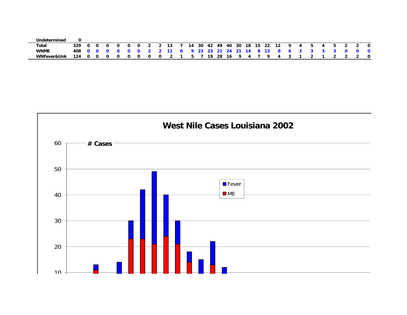| Undetermined           |      |   |   |   |   |   |     |        |                     |      |  |                       |          |   |                      |             |          |    |  |    |    |     |
|------------------------|------|---|---|---|---|---|-----|--------|---------------------|------|--|-----------------------|----------|---|----------------------|-------------|----------|----|--|----|----|-----|
| Total                  | 329. |   |   | റ | 0 |   |     | 13     | 14                  | - 30 |  |                       |          |   | 42 49 40 30 18 15 22 | - 12        | <b>Q</b> | 45 |  | 45 |    | - 0 |
| <b>WNME</b>            | 408. |   |   |   |   |   |     | 002211 |                     |      |  | 6 9 23 23 21 24 21 14 |          |   | 8 13                 | 8 6 3 3 3 3 |          |    |  |    | n. | - 0 |
| <b>WNFever&amp;Unk</b> | 124  | റ | റ | n | 0 | n | . റ |        | $5 \quad 7 \quad .$ |      |  | 19 28 16              | <b>Q</b> | 4 | o.                   | 4           |          |    |  |    |    | - 0 |

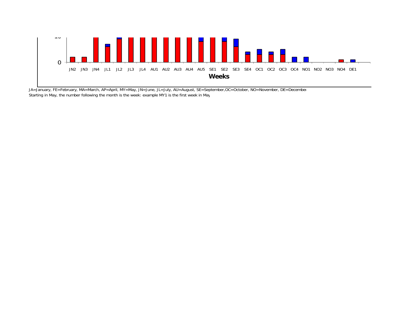

JA=January, FE=February, MA=March, AP=April, MY=May, JN=June, JL=July, AU=August, SE=September,OC=October, NO=November, DE=December Starting in May, the number following the month is the week: example MY1 is the first week in May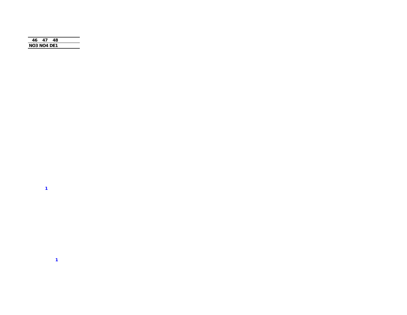| 46.                | 47 | 48. |  |
|--------------------|----|-----|--|
|                    |    |     |  |
| <b>NO3 NO4 DE1</b> |    |     |  |
|                    |    |     |  |

 $\mathbf{1}$  and  $\mathbf{1}$  and  $\mathbf{1}$ 

 $\sim 10^{-10}$  km  $^{-1}$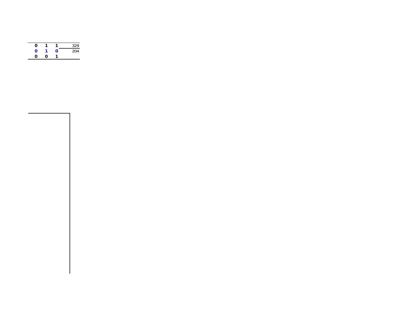| ი |   |   | 329 |
|---|---|---|-----|
| ი |   | ი | 204 |
| ი | O | 1 |     |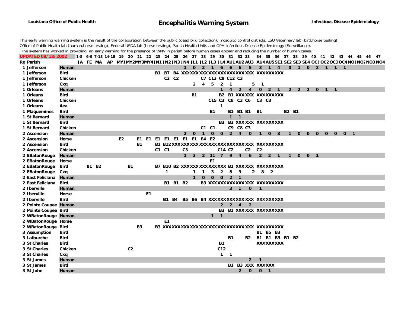## **Encephalitis Warning System Infectious Disease Epidemiology**

This early warning warning system is the result of the collaboration between the public (dead bird collection), mosquito control districts, LSU Veterinary lab (bird,horse testing) Office of Public Health lab (human,horse testing), Federal USDA lab (horse testing), Parish Health Units and OPH Infectious Disease Epidemiology (Surveillance).

The system has worked in providing an early warning for the presence of WNV in parish before human cases appear and reducing the number of human cases.

| <b>UPDATED 09/18/2002</b> |             |  |              |                |                | 1-5 6-9 7-13 14-18 19 20 21 22 23 24 25 26 27 28 29 30 31 32 33 34 35 36 37 38 39 40 41 42 43 44 45 46 47 |              |          |                |                |                |                  |                |                             |                |                                               |                          |                          |                   |              |              |               |              |              |              |                |  |                                                                                                                             |
|---------------------------|-------------|--|--------------|----------------|----------------|-----------------------------------------------------------------------------------------------------------|--------------|----------|----------------|----------------|----------------|------------------|----------------|-----------------------------|----------------|-----------------------------------------------|--------------------------|--------------------------|-------------------|--------------|--------------|---------------|--------------|--------------|--------------|----------------|--|-----------------------------------------------------------------------------------------------------------------------------|
| <b>Rg Parish</b>          |             |  |              |                |                |                                                                                                           |              |          |                |                |                |                  |                |                             |                |                                               |                          |                          |                   |              |              |               |              |              |              |                |  | JA FE MA AP MY1MY2MY3MY4JN1 JN2 JN3 JN4 JL1 JL2 JL3 JL4 AU1 AU2 AU3 AU4 AU5 SE1 SE2 SE3 SE4 OC1 OC2 OC3 OC4 NO1 NO2 NO3 NO4 |
| 1 Jefferson               | Human       |  |              |                |                |                                                                                                           |              |          |                |                |                | 1 0 2 1 6 6 6    |                |                             |                |                                               | $5\quad 3\quad 1\quad 4$ |                          |                   |              |              | 0 1 0 2 1 1 1 |              |              |              |                |  |                                                                                                                             |
| 1 Jefferson               | <b>Bird</b> |  |              |                |                |                                                                                                           |              |          |                |                |                |                  |                |                             |                |                                               |                          |                          |                   |              |              |               |              |              |              |                |  |                                                                                                                             |
| 1 Jefferson               | Chicken     |  |              |                |                |                                                                                                           |              | C2 C2    |                |                |                | C7 C13 C9 C12 C3 |                |                             |                |                                               |                          |                          |                   |              |              |               |              |              |              |                |  |                                                                                                                             |
| 1 Jefferson               | Cxq         |  |              |                |                |                                                                                                           |              |          |                | $\mathbf{2}$   | $\overline{4}$ | 5                | $\overline{2}$ | $\mathbf 1$                 |                | 5                                             | $\mathbf 1$              |                          |                   |              |              |               |              |              |              |                |  |                                                                                                                             |
| 1 Orleans                 | Human       |  |              |                |                |                                                                                                           |              |          |                |                |                |                  |                | $\overline{4}$              | $\overline{2}$ | $4\overline{ }$                               |                          | $0$ 2 1                  |                   |              |              | 2 2 2 0 1 1   |              |              |              |                |  |                                                                                                                             |
| 1 Orleans                 | <b>Bird</b> |  |              |                |                |                                                                                                           |              |          |                | <b>B1</b>      |                |                  |                |                             |                | B2 B1 XXX XXX XXX XXX XXX                     |                          |                          |                   |              |              |               |              |              |              |                |  |                                                                                                                             |
| 1 Orleans                 | Chicken     |  |              |                |                |                                                                                                           |              |          |                |                |                |                  |                |                             |                | C15 C3 C8 C3 C6 C3 C3                         |                          |                          |                   |              |              |               |              |              |              |                |  |                                                                                                                             |
| 1 Orleans                 | Aea         |  |              |                |                |                                                                                                           |              |          |                |                |                |                  | 1              |                             |                |                                               |                          |                          |                   |              |              |               |              |              |              |                |  |                                                                                                                             |
| 1 Plaquemines             | <b>Bird</b> |  |              |                |                |                                                                                                           |              |          |                |                |                | <b>B1</b>        |                |                             |                | B1 B1 B1 B1                                   |                          |                          |                   | B2 B1        |              |               |              |              |              |                |  |                                                                                                                             |
| 1 St Bernard              | Human       |  |              |                |                |                                                                                                           |              |          |                |                |                |                  |                | 1                           | $\mathbf{1}$   |                                               |                          |                          |                   |              |              |               |              |              |              |                |  |                                                                                                                             |
| 1 St Bernard              | <b>Bird</b> |  |              |                |                |                                                                                                           |              |          |                |                |                |                  |                |                             |                | B3 B3 XXX XXX XXX XXX XXX                     |                          |                          |                   |              |              |               |              |              |              |                |  |                                                                                                                             |
| 1 St Bernard              | Chicken     |  |              |                |                |                                                                                                           |              |          |                |                |                | C1 C1            |                |                             | C9 C8 C3       |                                               |                          |                          |                   |              |              |               |              |              |              |                |  |                                                                                                                             |
| 2 Ascension               | Human       |  |              |                |                |                                                                                                           |              |          | $\mathbf{2}$   | $\mathbf 0$    | $\mathbf{1}$   | $\mathbf{0}$     |                | $0 \quad 2 \quad 4 \quad 0$ |                |                                               | $\mathbf 1$              | $\bf{0}$                 | 3                 |              | $\mathbf{0}$ | $\mathbf{0}$  | $\mathbf{0}$ | $\mathbf{0}$ | $\mathbf{O}$ | 0 <sub>1</sub> |  |                                                                                                                             |
| 2 Ascension               | Horse       |  |              | E <sub>2</sub> |                | E1 E1 E1 E1 E1 E1 E1 E1 E4 E2                                                                             |              |          |                |                |                |                  |                |                             |                |                                               |                          |                          |                   |              |              |               |              |              |              |                |  |                                                                                                                             |
| 2 Ascension               | <b>Bird</b> |  |              |                | <b>B1</b>      |                                                                                                           |              |          |                |                |                |                  |                |                             |                |                                               |                          |                          |                   |              |              |               |              |              |              |                |  |                                                                                                                             |
| 2 Ascension               | Chicken     |  |              |                |                |                                                                                                           | C1 C1        |          | C <sub>3</sub> |                |                |                  | C14 C2         |                             |                | $C2$ $C2$                                     |                          |                          |                   |              |              |               |              |              |              |                |  |                                                                                                                             |
| 2 EBatonRouge Human       |             |  |              |                |                |                                                                                                           |              |          | $1 \quad$      | 3 <sup>1</sup> |                |                  |                |                             |                | 2 11 7 9 4 6 2 2 1                            |                          |                          |                   | $\mathbf{1}$ |              | $0 \t 0 \t 1$ |              |              |              |                |  |                                                                                                                             |
| 2 EBatonRouge Horse       |             |  |              |                |                |                                                                                                           |              |          |                |                |                | E1               |                |                             |                |                                               |                          |                          |                   |              |              |               |              |              |              |                |  |                                                                                                                             |
| 2 EBatonRouge             | Bird        |  | <b>B1 B2</b> |                | <b>B1</b>      |                                                                                                           |              |          |                |                |                |                  |                |                             |                | B7 B10 B2 XXXXXXXXXXXXXXX B1 XXX XXX XXXXXXXX |                          |                          |                   |              |              |               |              |              |              |                |  |                                                                                                                             |
| 2 EBatonRouge Cxq         |             |  |              |                |                |                                                                                                           | $\mathbf{1}$ |          |                |                | 1              | 3                | $2 \quad 8$    |                             | - 9            |                                               | $2 \quad 8$              | $\overline{\phantom{a}}$ |                   |              |              |               |              |              |              |                |  |                                                                                                                             |
| 2 East Feliciana Human    |             |  |              |                |                |                                                                                                           |              |          |                | $\mathbf{1}$   | $\mathbf{O}$   |                  |                | $0 \t 0 \t 2 \t 1$          |                |                                               |                          |                          |                   |              |              |               |              |              |              |                |  |                                                                                                                             |
| 2 East Feliciana Bird     |             |  |              |                |                |                                                                                                           |              | B1 B1 B2 |                |                |                |                  |                |                             |                | B3 XXX XXX XXX XXX XXX XXX XXX XXX            |                          |                          |                   |              |              |               |              |              |              |                |  |                                                                                                                             |
| 2 Iberville               | Human       |  |              |                |                |                                                                                                           |              |          |                |                |                |                  |                |                             | $3 - 1$        | $\mathbf 0$                                   | $\overline{1}$           |                          |                   |              |              |               |              |              |              |                |  |                                                                                                                             |
| 2 Iberville               | Horse       |  |              |                |                | E <sub>1</sub>                                                                                            |              |          |                |                |                |                  |                |                             |                |                                               |                          |                          |                   |              |              |               |              |              |              |                |  |                                                                                                                             |
| 2 Iberville               | <b>Bird</b> |  |              |                |                |                                                                                                           |              |          |                |                |                |                  |                |                             |                | B1 B4 B5 B6 B4 XXXXXXXXXXXXXXX XXX XXXXXXX    |                          |                          |                   |              |              |               |              |              |              |                |  |                                                                                                                             |
| 2 Pointe Coupee Human     |             |  |              |                |                |                                                                                                           |              |          |                |                |                |                  |                | $2 \quad 2 \quad 4 \quad 2$ |                |                                               |                          |                          |                   |              |              |               |              |              |              |                |  |                                                                                                                             |
| 2 Pointe Coupee Bird      |             |  |              |                |                |                                                                                                           |              |          |                |                |                |                  |                |                             |                | B3 B1 XXX XXX XXX XXX XXX                     |                          |                          |                   |              |              |               |              |              |              |                |  |                                                                                                                             |
| 2 WBatonRouge Human       |             |  |              |                |                |                                                                                                           |              |          |                |                |                | $1 \quad 1$      |                |                             |                |                                               |                          |                          |                   |              |              |               |              |              |              |                |  |                                                                                                                             |
| 2 WBatonRouge Horse       |             |  |              |                |                |                                                                                                           | E1           |          |                |                |                |                  |                |                             |                |                                               |                          |                          |                   |              |              |               |              |              |              |                |  |                                                                                                                             |
| 2 WBatonRouge Bird        |             |  |              |                | <b>B3</b>      |                                                                                                           |              |          |                |                |                |                  |                |                             |                |                                               |                          |                          |                   |              |              |               |              |              |              |                |  |                                                                                                                             |
| 3 Assumption              | Bird        |  |              |                |                |                                                                                                           |              |          |                |                |                |                  |                |                             |                |                                               |                          | B1 B5 B3                 |                   |              |              |               |              |              |              |                |  |                                                                                                                             |
| 3 Lafourche               | <b>Bird</b> |  |              |                |                |                                                                                                           |              |          |                |                |                |                  |                | B1                          |                |                                               |                          |                          | B2 B1 B1 B3 B1 B2 |              |              |               |              |              |              |                |  |                                                                                                                             |
| 3 St Charles              | <b>Bird</b> |  |              |                |                |                                                                                                           |              |          |                |                |                |                  | <b>B1</b>      |                             |                |                                               |                          |                          | XXX XXX XXX       |              |              |               |              |              |              |                |  |                                                                                                                             |
| 3 St Charles              | Chicken     |  |              |                | C <sub>2</sub> |                                                                                                           |              |          |                |                |                |                  | C12            |                             |                |                                               |                          |                          |                   |              |              |               |              |              |              |                |  |                                                                                                                             |
| 3 St Charles              | Cxq         |  |              |                |                |                                                                                                           |              |          |                |                |                |                  | $\mathbf{1}$   | $\overline{\mathbf{1}}$     |                |                                               |                          |                          |                   |              |              |               |              |              |              |                |  |                                                                                                                             |
| 3 St James                | Human       |  |              |                |                |                                                                                                           |              |          |                |                |                |                  |                |                             |                |                                               | $2 \quad 1$              |                          |                   |              |              |               |              |              |              |                |  |                                                                                                                             |
| 3 St James                | <b>Bird</b> |  |              |                |                |                                                                                                           |              |          |                |                |                |                  |                | B1.                         |                | B3 XXX XXXXXX                                 |                          |                          |                   |              |              |               |              |              |              |                |  |                                                                                                                             |
| 3 St John                 | Human       |  |              |                |                |                                                                                                           |              |          |                |                |                |                  |                |                             | $\overline{2}$ | $\mathbf{0}$                                  |                          | $0 \quad 1$              |                   |              |              |               |              |              |              |                |  |                                                                                                                             |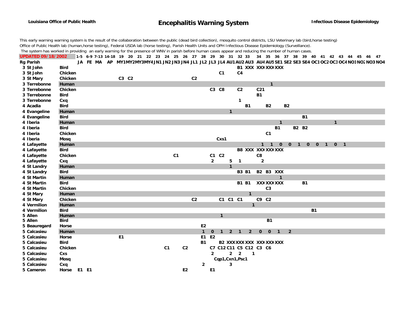This early warning warning system is the result of the collaboration between the public (dead bird collection), mosquito control districts, LSU Veterinary lab (bird,horse testing) Office of Public Health lab (human,horse testing), Federal USDA lab (horse testing), Parish Health Units and OPH Infectious Disease Epidemiology (Surveillance). The system has worked in providing an early warning for the presence of WNV in parish before human cases appear and reducing the number of human cases.

UPDATED 09/18/2002 1-5 6-9 7-13 14-18 19 20 21 22 23 24 25 26 27 28 29 30 31 32 33 34 35 36 37 38 39 40 41 42 43 44 45 46 47 Rg Parish JA FE MA AP MY1MY2MY3MY4JN1JN2JN3JN4JL1JL2JL3JL4AU1AU2AU3AU4AU5SE1SE2SE3SE4OC1OC2OC3OC4NO1NO2NO3NO4 **3 St John Bird**d B<sub>1</sub> **XXX XXXXXXXXX 3 St John Chicken C1 C4 3 St Mary Chicken C3 C2 C2 3 Terrebonne Human 1 3 Terrebonne Chicken C3 C8 C2 C21 3 Terrebonne Bird**d B1 B<sub>1</sub> **3 Terrebonne Cxq 1 4 Acadia Bird B1 B2 B2 4 Evangeline Human 1 4 Evangeline Bird B1 4 Iberia Human 1 1 4 Iberia Bird B1 B2 B24 Iberia Chicken C1 4 Iberia Mosq Cxs1 4 Lafayette Human 1100100101 4 Lafayette Bird B8 XXX XXXXXXXXX 4 Lafayette Chicken C1 C1 C2 C8 4 Lafayette Cxq 2 51 2 4 St Landry Human 1 4 St Landry Bird B3 B1 B2 B3 XXX 4 St Martin Human 1 4 St Martin Bird B1 B1**B1 B1 XXXXXXXXX **B1 4 St Martin Chicken C3 4 St Mary Human 1 4 St Mary Chicken C2 C1 C1 C1 C9 C2 4 Vermilion Human 1 4 Vermilion Bird**d<sub>d</sub> and the set of the set of the set of the set of the set of the set of the set of the set of the set of the set of the set of the set of the set of the set of the set of the set of the set of the set of the set of the **5 Allen Human 1 5 Allen Bird B1 5 Beauregard Horse E2 5 Calcasieu Human 1 0 1 2 1 2 0 0 1 25 Calcasieu Horse E1 E1 E25 Calcasieu Bird B1 B2 XXXXXX XXX XXXXXXXXX 5 Calcasieu Chicken C1 C2 C7 C12 C11 C5 C12 C3 C65 Calcasieu Cxs 2 22 15 Calcasieu Mosq Cqp1,Cxn1,Psc1 5 Calcasieu Cxq 2 3 5 Cameron Horse E1 E1 E2 E1**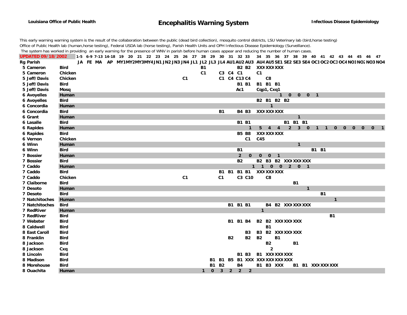## **Encephalitis Warning System Infectious Disease Epidemiology**

This early warning warning system is the result of the collaboration between the public (dead bird collection), mosquito control districts, LSU Veterinary lab (bird,horse testing) Office of Public Health lab (human,horse testing), Federal USDA lab (horse testing), Parish Health Units and OPH Infectious Disease Epidemiology (Surveillance). The system has worked in providing an early warning for the presence of WNV in parish before human cases appear and reducing the number of human cases.

UPDATED 09/18/2002 1-5 6-9 7-13 14-18 19 20 21 22 23 24 25 26 27 28 29 30 31 32 33 34 35 36 37 38 39 40 41 42 43 44 45 46 47 Rg Parish JA FE MA AP MY1MY2MY3MY4JN1 JN2 JN3 JN4 JL1 JL2 JL3 JL4 AU1 AU2 AU3 AU4 AU5 SE1 SE2 SE3 SE4 OC1 OC2 OC3 OC4 NO1NO2 NO3 NO4 **5 Cameron Bird B1 B2 B2**B<sub>2</sub> B<sub>2</sub> XXXXXXXXX **5 Cameron Chicken C1 C3 C4 C1 C15 Jeff/Davis Chicken C1 C1 C4 C13 C4 C85 Jeff/Davis Bird B1 B1 B1 B1 B15 Jeff/Davis Mosq Ac1 Cqp1, Cxq1 6 Avoyelles Human 10001 6 Avoyelles Bird B2 B1 B2 B2 6 Concordia Human 1 6 Concordia Bird B1 B4 B3**B4 B3 XXXXXXXXX **6 Grant Human 1 6 Lasalle Bird B1 B1 B1 B1 B16 Rapides Human 1 544 230110000 0 1 6 Rapides Bird B5 B8 XXXXXXXXX 6 Vernon Chicken C1 C45 6 Winn Human 1 6 Winn Bird B1 B1 B17 Bossier Human 2 0 001 7 Bossier Bird B2 B2 B3 B2 XXXXXXXXX7 Caddo Human 1100201 7 Caddo Bird B1 B1 B1 B1 XXXXXXXXX7 Caddo Chicken C1 C1 C3 C10 C87 Claiborne Bird**d B<sup>1</sup> **7 Desoto Human 1 7 Desoto Bird**d B<sup>1</sup> **7 Natchitoches Human 1 7 Natchitoches Bird B1 B1 B1 B4 B2**B4 B2 XXXXXXXXX **7 RedRiver Human 1 7 RedRiver Bird B17 Webster Bird B1 B1 B4 B2 B2**B<sub>2</sub> B<sub>2</sub> XXXXXXXXX **8 Caldwell Bird B1 XXXXXXXXX8 East Caroll Bird B3 B3 B28 Franklin Bird B2 B2 B2 B18 Jackson Bird B2 B18 Jackson Cxq 2 8 Lincoln Bird B1 B3 B1 XXXXXXXXX8 Madison Bird B1 B1 B5 B1 XXX XXXXXXXXXXXX 8 Morehouse Bird B1 B2 B4 B1 B3B1 B3 XXX B1 B1 XXXXXXXXX 8 Ouachita Human 1 0 3 2 2 2**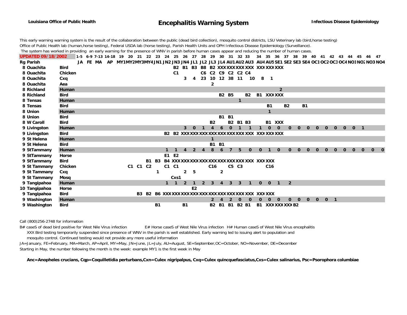This early warning warning system is the result of the collaboration between the public (dead bird collection), mosquito control districts, LSU Veterinary lab (bird,horse testing) Office of Public Health lab (human,horse testing), Federal USDA lab (horse testing), Parish Health Units and OPH Infectious Disease Epidemiology (Surveillance). The system has worked in providing an early warning for the presence of WNV in parish before human cases appear and reducing the number of human cases.

**UPDATED 09/18/2002**1-5 6-9 7-13 14-18 19 20 21 22 23 24 25 26 27 28 29 30 31 32 33 34 35 36 37 38 39 40 41 42 43 44 45 46 47 Rg Parish JA FE MA AP MY1MY2MY3MY4JN1JN2JN3JN4JL1JL2JL3JL4AU1AU2AU3AU4AU5SE1SE2SE3SE4OC1OC2OC3OC4NO1NO2NO3NO4 **8 Ouachita Bird B2 B1 B3 B8 B2 XXXXXXXXX XXX XXXXXXXXX 8 Ouachita Chicken C1 C6 C2 C9 C2 C2 C48 Ouachita Cxq 3 4 23 10 12 38 11 10 8 1 8 Ouachita Aea 28 Richland Human 2 8 Richland Bird B2 B5 B2 B1**B1 XXXXXX **8 Tensas Human 1 8 Tensas Bird B1 B2 B18 Union Human 1 8 Union Bird B1 B18 W Caroll Bird B2 B2 B1 B3 B1 XXX**9 Livingston Human 3 0 1 4 6 0 1 1 1 0 0 0 0 0 0 0 0 0 0 0 1 **9 Livingston Bird B2 B2 XXXXXXXXXXXXXXXXXXXXX XXX XXXXXXXXX 9 St Helena Human 1 9 St Helena Bird B1 B19 StTammany Human 1 1 4 2 4 8 6 7 5 0 0 1 0 0 0 0 0 0 0 0 0 0 0 0 9 StTammany Horse E1 E2 9 StTammany Bird B1 B3 B4 XXXXXXXXXXXXXXXXXXXXXXXX XXX XXXXXX 9 St Tammany Chicken C1 C1 C2 C1 C1 C16 C5 C3 C16 9 St Tammany Cxq 1 2 5 2 9 St Tammany Mosq Cxs1** 9 Tangipahoa Human 1 0 0 1 2 **10 Tangipahoa Horse E2 9 Tangipahoa Bird B3 B2 B6 XXXXXXXXXXXXXXXXXXXXXXXXXXX XXX XXXXXX 9 Washington Human 2420 0 000 000001 9 Washington Bird B1 B1 B2 B1 B1 B2 B1 B1 XXXXXXXXXB2**

Call (800)256-2748 for information

B# caseS of dead bird positive for West Nile Virus infection E# Horse caseS of West Nile Virus infection H# Human caseS of West Nile Virus encephalitis XXX Bird testing temporarily suspended since presence of WNV in the parish is well established. Early warning led to issuing alert to population and mosquito control. Continued testing would not provide any more useful information

JA=January, FE=February, MA=March, AP=April, MY=May, JN=June, JL=July, AU=August, SE=September,OC=October, NO=November, DE=December Starting in May, the number following the month is the week: example MY1 is the first week in May

**Anc=Anopheles crucians, Cqp=Coquilletidia perturbans,Cxn=Culex nigripalpus, Cxq=Culex quincquefasciatus,Cxs=Culex salinarius, Psc=Psorophora columbiae**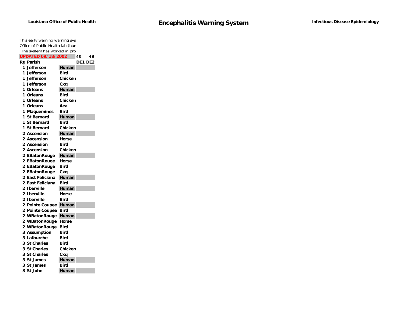| This early warning warning sys   |              |
|----------------------------------|--------------|
| Office of Public Health lab (hun |              |
| The system has worked in pro     |              |
| <b>UPDATED 09/18/2002</b>        | 49<br>48     |
| <b>Rg Parish</b>                 | DE1 DE2      |
| 1 Jefferson                      | Human        |
| 1 Jefferson                      | Bird         |
| 1 Jefferson                      | Chicken      |
| 1 Jefferson                      | Cxa          |
| 1 Orleans                        | Human        |
| 1 Orleans                        | Bird         |
| 1 Orleans                        | Chicken      |
| 1 Orleans                        | Aea          |
| 1 Plaquemines                    | Bird         |
| 1 St Bernard                     | Human        |
| <b>St Bernard</b><br>1.          | Bird         |
| 1.<br><b>St Bernard</b>          | Chicken      |
| 2 Ascension                      | Human        |
| 2 Ascension                      | <b>Horse</b> |
| 2 Ascension                      | Bird         |
| 2 Ascension                      | Chicken      |
| 2 EBatonRouge                    | Human        |
| 2 EBatonRouge                    | Horse        |
| 2 EBatonRouge                    | Bird         |
| 2 EBatonRouge                    | Cxa          |
| 2 East Feliciana                 | Human        |
| 2 East Feliciana                 | Bird         |
| 2 Iberville                      | Human        |
| 2 Iberville                      | Horse        |
| 2 Iberville                      | Bird         |
| 2 Pointe Coupee                  | Human        |
| 2 Pointe Coupee                  | Bird         |
| 2 WBatonRouge                    | Human        |
| 2 WBatonRouge                    | Horse        |
| 2 WBatonRouge                    | <b>Bird</b>  |
| 3 Assumption                     | Bird         |
| 3 Lafourche                      | Bird         |
| 3 St Charles                     | Bird         |
| 3 St Charles                     | Chicken      |
| <b>St Charles</b><br>3           | Cxa          |
| 3 St James                       | Human        |
| 3 St James                       | Bird         |
| 3<br>St John                     | Human        |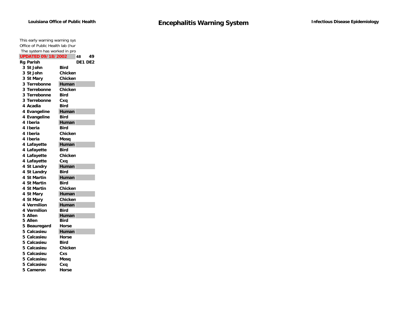| This early warning warning sys   |                |
|----------------------------------|----------------|
| Office of Public Health lab (hun |                |
| The system has worked in pro     |                |
| <b>UPDATED 09/18/2002</b>        | 49<br>48       |
| <b>Rg Parish</b>                 | DE1 DE2        |
| 3 St John                        | Bird           |
| 3 St John                        | Chicken        |
| 3 St Mary                        | Chicken        |
| 3 Terrebonne                     | Human          |
| 3 Terrebonne                     | Chicken        |
| 3 Terrebonne                     | <b>Bird</b>    |
| 3 Terrebonne                     | Cxa            |
| 4 Acadia                         | <b>Bird</b>    |
| 4 Evangeline                     | Human          |
| 4 Evangeline                     | Bird           |
| 4 Iberia                         | Human          |
| 4 Iberia                         | Bird           |
| 4 Iberia                         | Chicken        |
| 4 Iberia                         | Mosq           |
| 4 Lafayette                      | Human          |
| 4 Lafayette                      | Bird           |
| 4 Lafayette                      | <b>Chicken</b> |
| 4 Lafayette                      | Cxq            |
| 4 St Landry                      | Human          |
| 4 St Landry                      | Bird           |
| 4 St Martin                      | Human          |
| 4 St Martin                      | <b>Bird</b>    |
| 4 St Martin                      | Chicken        |
| 4 St Mary                        | Human          |
| 4 St Mary                        | Chicken        |
| 4 Vermilion                      | Human          |
| 4 Vermilion                      | Bird           |
| 5 Allen                          | Human          |
| 5 Allen                          | Bird           |
| 5 Beauregard                     | Horse          |
| 5 Calcasieu                      | Human          |
| 5 Calcasieu                      | Horse          |
| 5 Calcasieu                      | <b>Bird</b>    |
| 5 Calcasieu                      | Chicken        |
| 5 Calcasieu                      | Cxs            |
| 5 Calcasieu                      | Mosq           |
| 5 Calcasieu                      | Cxa            |
| 5 Cameron                        | Horse          |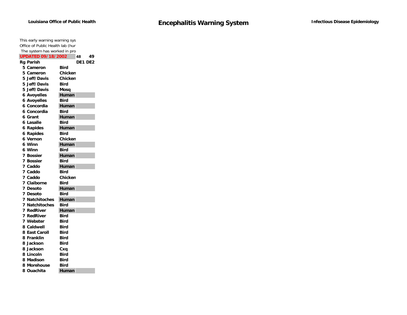|   | This early warning warning sys   |             |  |
|---|----------------------------------|-------------|--|
|   | Office of Public Health lab (hun |             |  |
|   | The system has worked in pro     |             |  |
|   | <b>UPDATED 09/18/2002</b>        | 48<br>49    |  |
|   | Rg Parish                        | DE1 DE2     |  |
|   | 5 Cameron                        | Bird        |  |
|   | 5 Cameron                        | Chicken     |  |
|   | 5 Jeff/Davis                     | Chicken     |  |
|   | 5 Jeff/Davis                     | Bird        |  |
|   | 5 Jeff/Davis                     | Mosq        |  |
|   | <b>6 Avoyelles</b>               | Human       |  |
|   | <b>6 Avoyelles</b>               | Bird        |  |
|   | 6 Concordia                      | Human       |  |
|   | 6 Concordia                      | Bird        |  |
|   | 6 Grant                          | Human       |  |
|   | 6 Lasalle                        | Bird        |  |
|   | 6 Rapides                        | Human       |  |
|   | <b>6 Rapides</b>                 | Bird        |  |
|   | 6 Vernon                         | Chicken     |  |
|   | 6 Winn                           | Human       |  |
|   | 6 Winn                           | <b>Bird</b> |  |
|   | 7 Bossier                        | Human       |  |
|   | 7 Bossier                        | Bird        |  |
|   | 7 Caddo                          | Human       |  |
|   | 7 Caddo                          | Bird        |  |
|   | 7 Caddo                          | Chicken     |  |
|   | 7 Claiborne                      | <b>Bird</b> |  |
|   | 7 Desoto                         | Human       |  |
|   | 7 Desoto                         | <b>Bird</b> |  |
| 7 | <b>Natchitoches</b>              | Human       |  |
|   | <b>7 Natchitoches</b>            | Bird        |  |
|   | 7 RedRiver                       | Human       |  |
|   | 7 RedRiver                       | <b>Bird</b> |  |
|   | 7 Webster                        | Bird        |  |
|   | 8 Caldwell                       | <b>Bird</b> |  |
|   | 8 East Caroll                    | <b>Bird</b> |  |
|   | 8 Franklin                       | Bird        |  |
|   | 8 Jackson                        | Bird        |  |
|   | 8 Jackson                        | Cxq         |  |
|   | 8 Lincoln                        | Bird        |  |
|   | 8 Madison                        | Bird        |  |
|   | 8 Morehouse                      | Bird        |  |
|   | 8 Ouachita                       | Human       |  |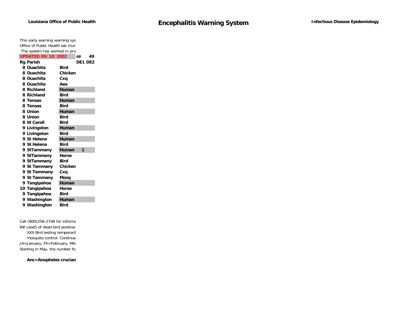| This early warning warning sys   |                |
|----------------------------------|----------------|
| Office of Public Health lab (hun |                |
| The system has worked in pro     |                |
| <b>UPDATED 09/18/2002</b>        | 49<br>48       |
| <b>Rg Parish</b>                 | <b>DE1 DE2</b> |
| 8 Ouachita                       | Bird           |
| 8 Ouachita                       | Chicken        |
| 8 Ouachita                       | Cxq            |
| 8 Ouachita                       | Aea            |
| 8 Richland                       | Human          |
| 8 Richland                       | Bird           |
| 8 Tensas                         | Human          |
| 8 Tensas                         | Bird           |
| 8 Union                          | Human          |
| 8 Union                          | Bird           |
| 8 W Caroll                       | Bird           |
| 9 Livingston                     | Human          |
| 9 Livingston                     | Bird           |
| 9 St Helena                      | Human          |
| 9 St Helena                      | Bird           |
| 9 StTammany                      | Human<br>1     |
| 9 StTammany                      | Horse          |
| 9 StTammany                      | Bird           |
| 9 St Tammany                     | Chicken        |
| 9 St Tammany                     | Cxq            |
| 9 St Tammany                     | Mosq           |
| 9 Tangipahoa                     | Human          |
| 10 Tangipahoa                    | Horse          |
| 9 Tangipahoa                     | Bird           |
| 9 Washington                     | Human          |
| 9 Washington                     | Bird           |

Call (800)256-2748 for informa B# caseS of dead bird positive XXX Bird testing temporaril mosquito control. Continue JA=January, FE=February, MA Starting in May, the number fol

**Anc=Anopheles crucian**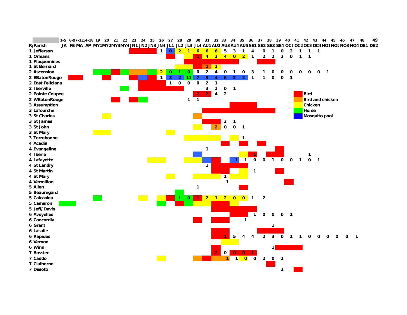|                    | 1-5 6-97-1314-18 19 20 21 22 23 24 25 26 27 28 29 30 31 32 33 34 35 36 37 38                                                        |  |  |  |                |                 |                |              |                |                |                |                |                |                |              |                |              | 39                      | 40 41 42 43 44 |              |                |                |                         | 45 | - 46<br>47 | 48             | 49 |
|--------------------|-------------------------------------------------------------------------------------------------------------------------------------|--|--|--|----------------|-----------------|----------------|--------------|----------------|----------------|----------------|----------------|----------------|----------------|--------------|----------------|--------------|-------------------------|----------------|--------------|----------------|----------------|-------------------------|----|------------|----------------|----|
| R Parish           | JA FE MA AP MY1MY2MY3MY4JN1 JN2 JN3 JN4 JL1 JL2 JL3 JL4 AU1 AU2 AU3 AU4 AU5 SE1 SE2 SE3 SE4 OC1 OC2 OC3 OC4 NO1 NO2 NO3 NO4 DE1 DE2 |  |  |  |                |                 |                |              |                |                |                |                |                |                |              |                |              |                         |                |              |                |                |                         |    |            |                |    |
| 1 Jefferson        |                                                                                                                                     |  |  |  | $\mathbf{1}$   | $\mathbf{0}$    | $\overline{2}$ | $\mathbf{1}$ | $\overline{6}$ | $\mathbf{6}$   | $\bullet$      | 5              | $\mathbf 3$    | 1              | 4            | 0              | 1            | 0                       | 2              |              | 1              | $\mathbf{1}$   |                         |    |            |                |    |
| 1 Orleans          |                                                                                                                                     |  |  |  |                |                 |                |              | 1              | $\overline{4}$ | $\overline{2}$ | $\frac{4}{10}$ |                | 2 <sub>1</sub> | $\mathbf{1}$ | $\overline{2}$ | $\mathbf{2}$ | $\overline{\mathbf{2}}$ | $\mathbf 0$    | 1            | 1              |                |                         |    |            |                |    |
| 1 Plaquemines      |                                                                                                                                     |  |  |  |                |                 |                |              |                |                |                |                |                |                |              |                |              |                         |                |              |                |                |                         |    |            |                |    |
| 1 St Bernard       |                                                                                                                                     |  |  |  |                |                 |                |              |                | 1              | $\mathbf{1}$   |                |                |                |              |                |              |                         |                |              |                |                |                         |    |            |                |    |
| 2 Ascension        |                                                                                                                                     |  |  |  | $\overline{2}$ | $\mathbf 0$     |                | $\mathbf{o}$ | $\mathbf 0$    | $\mathbf{2}$   | 4              | 0              | 1              | 0              | 3            |                | o            | ი                       | 0              | 0            | 0              | $\mathbf 0$    | $\blacksquare$          |    |            |                |    |
| 2 EBatonRouge      |                                                                                                                                     |  |  |  | $\mathbf{1}$   | 3               | $\overline{2}$ | 11           | Þ              | 9              | 4              | 6              | $\overline{2}$ | $\overline{2}$ | 1            | 1              | 0            | $\mathbf 0$             | $\mathbf{1}$   |              |                |                |                         |    |            |                |    |
| 2 East Feliciana   |                                                                                                                                     |  |  |  |                | $\overline{1}$  | $\mathbf 0$    | $\mathbf 0$  | $\mathbf 0$    | $\overline{2}$ | $\mathbf{1}$   |                |                |                |              |                |              |                         |                |              |                |                |                         |    |            |                |    |
| 2 Iberville        |                                                                                                                                     |  |  |  |                |                 |                |              |                | 3              | 1              | 0              | $\mathbf{1}$   |                |              |                |              |                         |                |              |                |                |                         |    |            |                |    |
| 2 Pointe Coupee    |                                                                                                                                     |  |  |  |                |                 |                |              |                | 2.             | 4              | $\overline{2}$ |                |                |              |                |              |                         |                |              | <b>Bird</b>    |                |                         |    |            |                |    |
| 2 WBatonRouge      |                                                                                                                                     |  |  |  |                |                 |                | $\mathbf{1}$ | $\mathbf{1}$   |                |                |                |                |                |              |                |              |                         |                |              |                |                | <b>Bird and chicken</b> |    |            |                |    |
| 3 Assumption       |                                                                                                                                     |  |  |  |                |                 |                |              |                |                |                |                |                |                |              |                |              |                         |                |              | <b>Chicken</b> |                |                         |    |            |                |    |
| 3 Lafourche        |                                                                                                                                     |  |  |  |                |                 |                |              |                |                |                |                |                |                |              |                |              |                         |                |              | Horse          |                |                         |    |            |                |    |
| 3 St Charles       |                                                                                                                                     |  |  |  |                |                 |                |              |                |                |                |                |                |                |              |                |              |                         |                |              |                |                | <b>Mosquito pool</b>    |    |            |                |    |
| 3 St James         |                                                                                                                                     |  |  |  |                |                 |                |              |                |                |                | $\mathbf 2$    | $\mathbf{1}$   |                |              |                |              |                         |                |              |                |                |                         |    |            |                |    |
| 3 St John          |                                                                                                                                     |  |  |  |                |                 |                |              |                |                | $\overline{2}$ | $\mathbf 0$    | $\mathbf 0$    | $\mathbf{1}$   |              |                |              |                         |                |              |                |                |                         |    |            |                |    |
| 3 St Mary          |                                                                                                                                     |  |  |  |                | <b>Contract</b> |                |              |                |                |                |                |                |                |              |                |              |                         |                |              |                |                |                         |    |            |                |    |
| 3 Terrebonne       |                                                                                                                                     |  |  |  |                |                 |                |              |                |                |                |                |                | 1              |              |                |              |                         |                |              |                |                |                         |    |            |                |    |
| 4 Acadia           |                                                                                                                                     |  |  |  |                |                 |                |              |                |                |                |                |                |                |              |                |              |                         |                |              |                |                |                         |    |            |                |    |
| 4 Evangeline       |                                                                                                                                     |  |  |  |                |                 |                |              |                | $\mathbf{1}$   |                |                |                |                |              |                |              |                         |                |              |                |                |                         |    |            |                |    |
| 4 Iberia           |                                                                                                                                     |  |  |  |                |                 |                |              |                |                |                |                |                |                |              |                |              |                         |                |              |                |                |                         |    |            |                |    |
| 4 Lafayette        |                                                                                                                                     |  |  |  |                |                 |                |              |                |                |                |                |                | $\mathbf{1}$   | 0            | $\mathbf 0$    | $\mathbf{1}$ | $\mathbf 0$             | $\mathbf 0$    | $\mathbf{1}$ | 0              | $\blacksquare$ |                         |    |            |                |    |
| 4 St Landry        |                                                                                                                                     |  |  |  |                |                 |                |              |                | $\mathbf{1}$   |                |                |                |                |              |                |              |                         |                |              |                |                |                         |    |            |                |    |
| 4 St Martin        |                                                                                                                                     |  |  |  |                |                 |                |              |                |                |                |                |                |                | $\mathbf{1}$ |                |              |                         |                |              |                |                |                         |    |            |                |    |
| 4 St Mary          |                                                                                                                                     |  |  |  |                |                 |                |              |                |                |                | $\mathbf{1}$   |                |                |              |                |              |                         |                |              |                |                |                         |    |            |                |    |
| 4 Vermilion        |                                                                                                                                     |  |  |  |                |                 |                |              |                |                |                | 1              |                |                |              |                |              |                         |                |              |                |                |                         |    |            |                |    |
| 5 Allen            |                                                                                                                                     |  |  |  |                |                 |                |              | 1              |                |                |                |                |                |              |                |              |                         |                |              |                |                |                         |    |            |                |    |
| 5 Beauregard       |                                                                                                                                     |  |  |  |                |                 |                |              |                |                |                |                |                |                |              |                |              |                         |                |              |                |                |                         |    |            |                |    |
| 5 Calcasieu        |                                                                                                                                     |  |  |  |                |                 |                | $\mathbf{0}$ | 1              | $\overline{2}$ | $\mathbf{1}$   | $2^{\circ}$    | $\overline{0}$ | $\overline{0}$ | $\mathbf 1$  | $\bf 2$        |              |                         |                |              |                |                |                         |    |            |                |    |
| 5 Cameron          |                                                                                                                                     |  |  |  |                |                 |                |              |                |                |                |                |                |                |              |                |              |                         |                |              |                |                |                         |    |            |                |    |
| 5 Jeff/Davis       |                                                                                                                                     |  |  |  |                |                 |                |              |                |                |                |                |                |                |              |                |              |                         |                |              |                |                |                         |    |            |                |    |
| <b>6 Avoyelles</b> |                                                                                                                                     |  |  |  |                |                 |                |              |                |                |                |                |                |                | 1            | 0              | 0            | $\mathbf 0$             | $\blacksquare$ |              |                |                |                         |    |            |                |    |
| 6 Concordia        |                                                                                                                                     |  |  |  |                |                 |                |              |                |                |                |                |                | $\mathbf{1}$   |              |                |              |                         |                |              |                |                |                         |    |            |                |    |
| 6 Grant            |                                                                                                                                     |  |  |  |                |                 |                |              |                |                |                |                |                |                |              |                | 1            |                         |                |              |                |                |                         |    |            |                |    |
| 6 Lasalle          |                                                                                                                                     |  |  |  |                |                 |                |              |                |                |                |                |                |                |              |                |              |                         |                |              |                |                |                         |    |            |                |    |
| 6 Rapides          |                                                                                                                                     |  |  |  |                |                 |                |              |                |                |                |                | 5              | 4              | 4            | $\overline{2}$ | 3            | 0                       | -1             |              | 0              | 0              | 0                       | 0  | 0          | $\blacksquare$ |    |
| 6 Vernon           |                                                                                                                                     |  |  |  |                |                 |                |              |                |                |                |                |                |                |              |                |              |                         |                |              |                |                |                         |    |            |                |    |
| 6 Winn             |                                                                                                                                     |  |  |  |                |                 |                |              |                |                |                |                |                |                |              |                | $\mathbf{1}$ |                         |                |              |                |                |                         |    |            |                |    |
| 7 Bossier          |                                                                                                                                     |  |  |  |                |                 |                |              |                |                | $\overline{2}$ | 0              | $\overline{0}$ | $\overline{0}$ | 1.           |                |              |                         |                |              |                |                |                         |    |            |                |    |
| 7 Caddo            |                                                                                                                                     |  |  |  |                |                 |                |              |                |                |                |                | $1$ $1$ $0$    |                | 0            | $\overline{2}$ | $\mathbf 0$  | $\mathbf{1}$            |                |              |                |                |                         |    |            |                |    |
| 7 Claiborne        |                                                                                                                                     |  |  |  |                |                 |                |              |                |                |                |                |                |                |              |                |              |                         |                |              |                |                |                         |    |            |                |    |
| 7 Desoto           |                                                                                                                                     |  |  |  |                |                 |                |              |                |                |                |                |                |                |              |                |              | $\mathbf{1}$            |                |              |                |                |                         |    |            |                |    |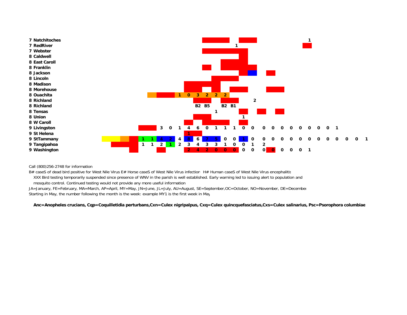

Call (800)256-2748 for information

B# caseS of dead bird positive for West Nile Virus E# Horse caseS of West Nile Virus infection H# Human caseS of West Nile Virus encephalitis XXX Bird testing temporarily suspended since presence of WNV in the parish is well established. Early warning led to issuing alert to population and mosquito control. Continued testing would not provide any more useful information

JA=January, FE=February, MA=March, AP=April, MY=May, JN=June, JL=July, AU=August, SE=September,OC=October, NO=November, DE=December Starting in May, the number following the month is the week: example MY1 is the first week in May

**Anc=Anopheles crucians, Cqp=Coquilletidia perturbans,Cxn=Culex nigripalpus, Cxq=Culex quincquefasciatus,Cxs=Culex salinarius, Psc=Psorophora columbiae**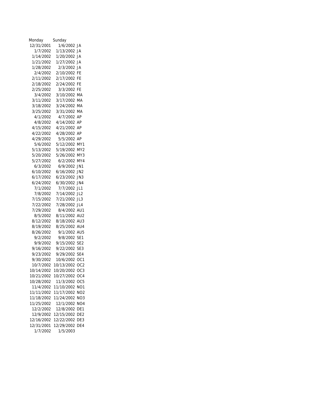| Monday     | Sunday     |                 |
|------------|------------|-----------------|
| 12/31/2001 | 1/6/2002   | JA              |
| 1/7/2002   | 1/13/2002  | JA.             |
| 1/14/2002  | 1/20/2002  | JA              |
| 1/21/2002  | 1/27/2002  | JA              |
| 1/28/2002  | 2/3/2002   | JA              |
| 2/4/2002   | 2/10/2002  | FE              |
| 2/11/2002  | 2/17/2002  | FE              |
| 2/18/2002  | 2/24/2002  | FE              |
| 2/25/2002  | 3/3/2002   | FE              |
| 3/4/2002   | 3/10/2002  | МA              |
| 3/11/2002  | 3/17/2002  | МA              |
| 3/18/2002  | 3/24/2002  | МA              |
| 3/25/2002  | 3/31/2002  | MA              |
| 4/1/2002   | 4/7/2002   | AP              |
| 4/8/2002   | 4/14/2002  | ΑP              |
| 4/15/2002  | 4/21/2002  | AΡ              |
| 4/22/2002  | 4/28/2002  | АP              |
| 4/29/2002  | 5/5/2002   | AΡ              |
| 5/6/2002   | 5/12/2002  | MY1             |
| 5/13/2002  | 5/19/2002  | MY2             |
| 5/20/2002  | 5/26/2002  | MY3             |
| 5/27/2002  | 6/2/2002   | MY4             |
| 6/3/2002   | 6/9/2002   | JN1             |
| 6/10/2002  | 6/16/2002  | JN <sub>2</sub> |
| 6/17/2002  | 6/23/2002  | JN3             |
| 6/24/2002  | 6/30/2002  | JN4             |
| 7/1/2002   | 7/7/2002   | JL1             |
| 7/8/2002   | 7/14/2002  | JL <sub>2</sub> |
| 7/15/2002  | 7/21/2002  | JL3             |
| 7/22/2002  | 7/28/2002  | JL 4            |
| 7/29/2002  | 8/4/2002   | AU1             |
| 8/5/2002   | 8/11/2002  | AU2             |
| 8/12/2002  | 8/18/2002  | AU3             |
| 8/19/2002  | 8/25/2002  | AU4             |
| 8/26/2002  | 9/1/2002   | AU5             |
| 9/2/2002   | 9/8/2002   | SE <sub>1</sub> |
| 9/9/2002   | 9/15/2002  | SE <sub>2</sub> |
| 9/16/2002  | 9/22/2002  | SE <sub>3</sub> |
| 9/23/2002  | 9/29/2002  | SE <sub>4</sub> |
| 9/30/2002  | 10/6/2002  | OC1             |
| 10/7/2002  | 10/13/2002 | OC <sub>2</sub> |
| 10/14/2002 | 10/20/2002 | OC3             |
| 10/21/2002 | 10/27/2002 | OC4             |
| 10/28/2002 | 11/3/2002  | OC <sub>5</sub> |
| 11/4/2002  | 11/10/2002 | NO <sub>1</sub> |
| 11/11/2002 | 11/17/2002 | NO2             |
| 11/18/2002 | 11/24/2002 | NO3             |
| 11/25/2002 | 12/1/2002  | NO <sub>4</sub> |
| 12/2/2002  | 12/8/2002  | DE1             |
| 12/9/2002  | 12/15/2002 | DE <sub>2</sub> |
| 12/16/2002 | 12/22/2002 | DE3             |
| 12/31/2001 | 12/29/2002 | DE4             |
| 1/7/2002   | 1/5/2003   |                 |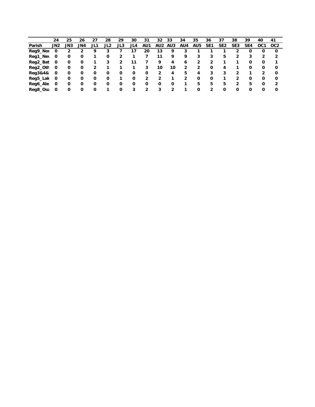|                 | 24  | 25  | 26  | 27  | 28  | 29  | 30  | 31             | 32              | 33  | 34  | 35              | 36              | 37              | 38              | 39  | 40  | 41              |
|-----------------|-----|-----|-----|-----|-----|-----|-----|----------------|-----------------|-----|-----|-----------------|-----------------|-----------------|-----------------|-----|-----|-----------------|
| Parish          | JN2 | JN3 | JN4 | JL1 | JL2 | JL3 | JL4 | AU1            | AU <sub>2</sub> | AU3 | AU4 | AU <sub>5</sub> | SE <sub>1</sub> | SE <sub>2</sub> | SE <sub>3</sub> | SE4 | OC1 | OC <sub>2</sub> |
| Reg9_Nor        | 0   |     |     | 9   | 3   |     |     | 20             | 13              | 9   | 3   |                 |                 |                 |                 |     |     | 0               |
| <b>Reg1_Nev</b> | 0   | 0   | 0   |     | 0   | 2   |     |                | 11              | 9   | 9   | 3               | 3               | 5               | 2               |     |     |                 |
| Reg2_Bat        | 0   | 0   | 0   |     | 3   | 2   | 11  |                | 9               | 4   | 6   | 2               |                 |                 |                 | 0   | 0   |                 |
| Reg2_Oth        | 0   | 0   | 0   | 2   |     |     |     | 3              | 10              | 10  | 2   | 2               | 0               | 4               |                 | 0   | 0   | 0               |
| Reg3&4&         | 0   | 0   | 0   | 0   | 0   | 0   | 0   | 0              | 2               | 4   | 5   | 4               | 3               | 3               |                 |     |     | $\Omega$        |
| Reg5_Lak 0      |     | 0   | 0   | 0   | 0   |     | 0   | $\overline{2}$ | 2               |     | 2   | $\mathbf{o}$    | 0               |                 |                 | 0   | 0   | $\Omega$        |
| Reg6_Ale        | - 0 | 0   | 0   | 0   | 0   | 0   | 0   | 0              | 0               | 0   | 1   | 5.              | 5.              | 5               | 2               | 5   | O   |                 |
| Reg8_Out        | 0   | 0   | 0   | 0   |     | 0   | 3   | 2              | 3               | 2   |     | 0               | $\overline{2}$  | 0               | 0               | 0   | 0   | 0               |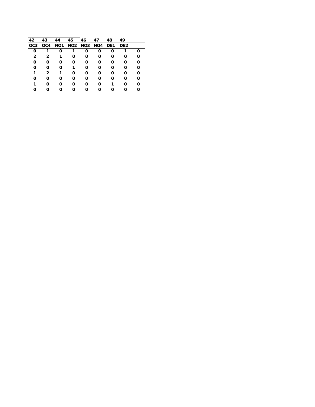| 42              | 43           | 44              | 45 | 46             | 47  | 48              | 49              |   |
|-----------------|--------------|-----------------|----|----------------|-----|-----------------|-----------------|---|
| OC <sub>3</sub> | OC4          | NO <sub>1</sub> |    | <b>NO2 NO3</b> | NO4 | DE <sub>1</sub> | DE <sub>2</sub> |   |
| 0               | 1            | 0               |    | 0              | 0   | 0               |                 | Ω |
| 2               | 2            | 1               | 0  | 0              | 0   | 0               | 0               | Ω |
| 0               | 0            | 0               | 0  | 0              | 0   | 0               | 0               | 0 |
| 0               | 0            | 0               | 1  | 0              | 0   | 0               | 0               | 0 |
|                 | $\mathbf{2}$ | 1               | 0  | 0              | 0   | 0               | 0               | 0 |
| 0               | 0            | 0               | 0  | 0              | 0   | 0               | 0               | 0 |
| 1               | 0            | 0               | 0  | 0              | 0   | 1               | 0               | 0 |
|                 | O            | 0               | 0  | 0              | Ω   | Ω               | 0               | Ω |